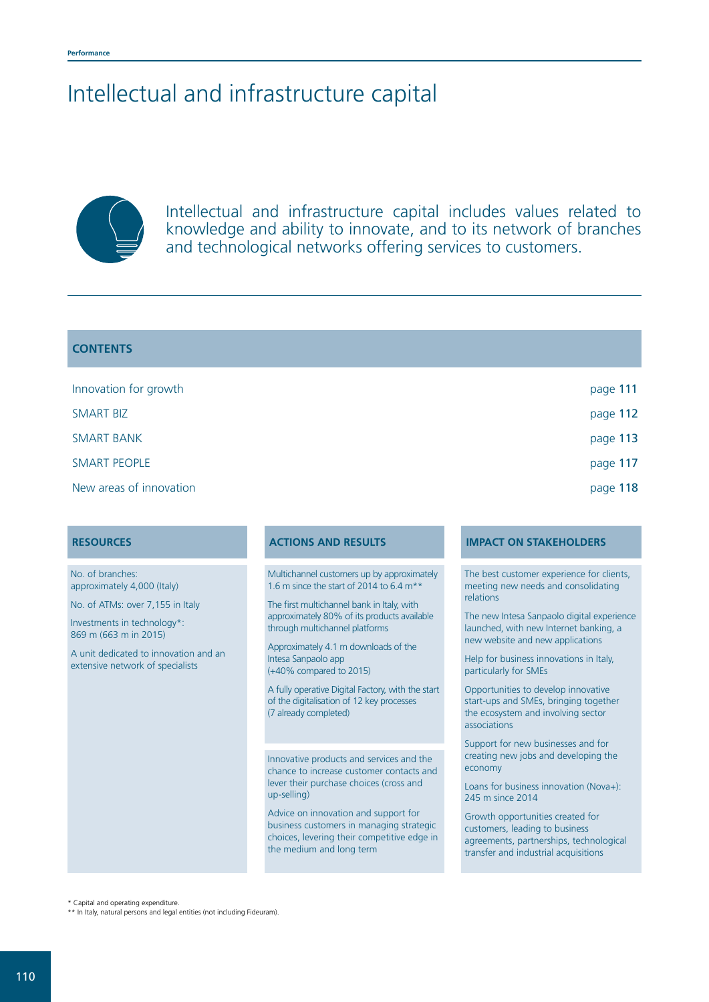## Intellectual and infrastructure capital



Intellectual and infrastructure capital includes values related to knowledge and ability to innovate, and to its network of branches and technological networks offering services to customers.

#### **CONTENTS**

| Innovation for growth   | page 111 |
|-------------------------|----------|
| <b>SMART BIZ</b>        | page 112 |
| <b>SMART BANK</b>       | page 113 |
| <b>SMART PEOPLE</b>     | page 117 |
| New areas of innovation | page 118 |

No. of branches: approximately 4,000 (Italy)

No. of ATMs: over 7,155 in Italy

Investments in technology\*: 869 m (663 m in 2015)

A unit dedicated to innovation and an extensive network of specialists

Multichannel customers up by approximately 1.6 m since the start of 2014 to  $6.4 \text{ m}^*$ 

The first multichannel bank in Italy, with approximately 80% of its products available through multichannel platforms

Approximately 4.1 m downloads of the Intesa Sanpaolo app (+40% compared to 2015)

A fully operative Digital Factory, with the start of the digitalisation of 12 key processes (7 already completed)

Innovative products and services and the chance to increase customer contacts and lever their purchase choices (cross and up-selling)

Advice on innovation and support for business customers in managing strategic choices, levering their competitive edge in the medium and long term

#### **RESOURCES ACTIONS AND RESULTS IMPACT ON STAKEHOLDERS**

The best customer experience for clients, meeting new needs and consolidating relations

The new Intesa Sanpaolo digital experience launched, with new Internet banking, a new website and new applications

Help for business innovations in Italy, particularly for SMEs

Opportunities to develop innovative start-ups and SMEs, bringing together the ecosystem and involving sector associations

Support for new businesses and for creating new jobs and developing the economy

Loans for business innovation (Nova+): 245 m since 2014

Growth opportunities created for customers, leading to business agreements, partnerships, technological transfer and industrial acquisitions

\* Capital and operating expenditure.

\*\* In Italy, natural persons and legal entities (not including Fideuram).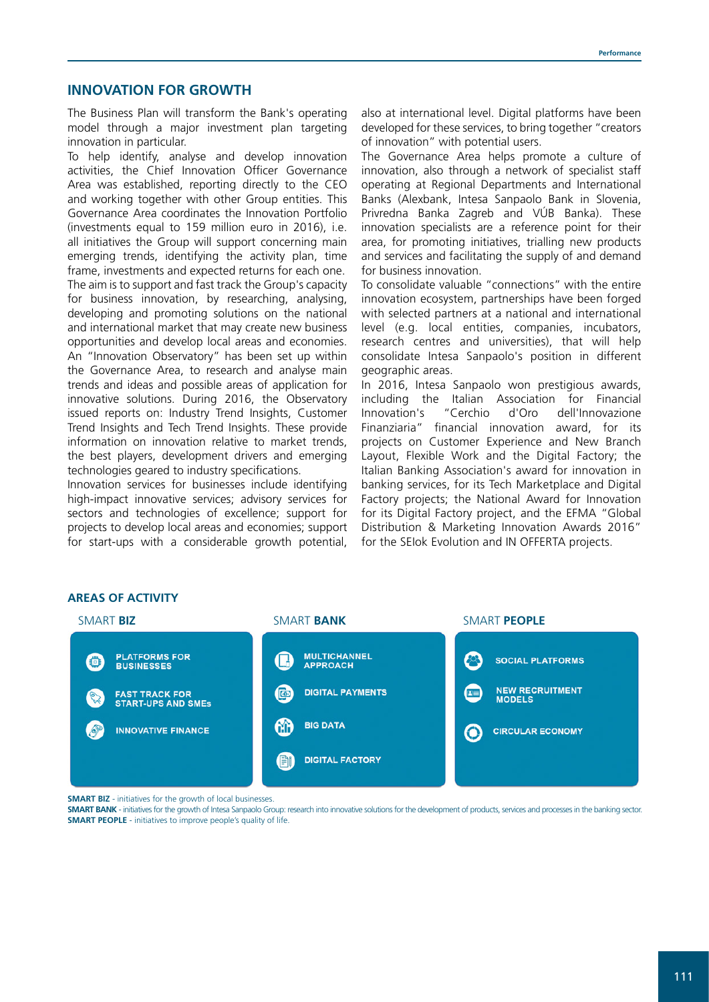#### **INNOVATION FOR GROWTH**

The Business Plan will transform the Bank's operating model through a major investment plan targeting innovation in particular.

To help identify, analyse and develop innovation activities, the Chief Innovation Officer Governance Area was established, reporting directly to the CEO and working together with other Group entities. This Governance Area coordinates the Innovation Portfolio (investments equal to 159 million euro in 2016), i.e. all initiatives the Group will support concerning main emerging trends, identifying the activity plan, time frame, investments and expected returns for each one. The aim is to support and fast track the Group's capacity for business innovation, by researching, analysing, developing and promoting solutions on the national and international market that may create new business opportunities and develop local areas and economies. An "Innovation Observatory" has been set up within the Governance Area, to research and analyse main trends and ideas and possible areas of application for innovative solutions. During 2016, the Observatory issued reports on: Industry Trend Insights, Customer Trend Insights and Tech Trend Insights. These provide information on innovation relative to market trends, the best players, development drivers and emerging technologies geared to industry specifications.

Innovation services for businesses include identifying high-impact innovative services; advisory services for sectors and technologies of excellence; support for projects to develop local areas and economies; support for start-ups with a considerable growth potential,

also at international level. Digital platforms have been developed for these services, to bring together "creators of innovation" with potential users.

The Governance Area helps promote a culture of innovation, also through a network of specialist staff operating at Regional Departments and International Banks (Alexbank, Intesa Sanpaolo Bank in Slovenia, Privredna Banka Zagreb and VÚB Banka). These innovation specialists are a reference point for their area, for promoting initiatives, trialling new products and services and facilitating the supply of and demand for business innovation.

To consolidate valuable "connections" with the entire innovation ecosystem, partnerships have been forged with selected partners at a national and international level (e.g. local entities, companies, incubators, research centres and universities), that will help consolidate Intesa Sanpaolo's position in different geographic areas.

In 2016, Intesa Sanpaolo won prestigious awards, including the Italian Association for Financial Innovation's "Cerchio d'Oro dell'Innovazione Finanziaria" financial innovation award, for its projects on Customer Experience and New Branch Layout, Flexible Work and the Digital Factory; the Italian Banking Association's award for innovation in banking services, for its Tech Marketplace and Digital Factory projects; the National Award for Innovation for its Digital Factory project, and the EFMA "Global Distribution & Marketing Innovation Awards 2016" for the SEIok Evolution and IN OFFERTA projects.



## **AREAS OF ACTIVITY**

**SMART BIZ** - initiatives for the growth of local businesses.

**SMART BANK** - initiatives for the growth of Intesa Sanpaolo Group: research into innovative solutions for the development of products, services and processes in the banking sector. **SMART PEOPLE** - initiatives to improve people's quality of life.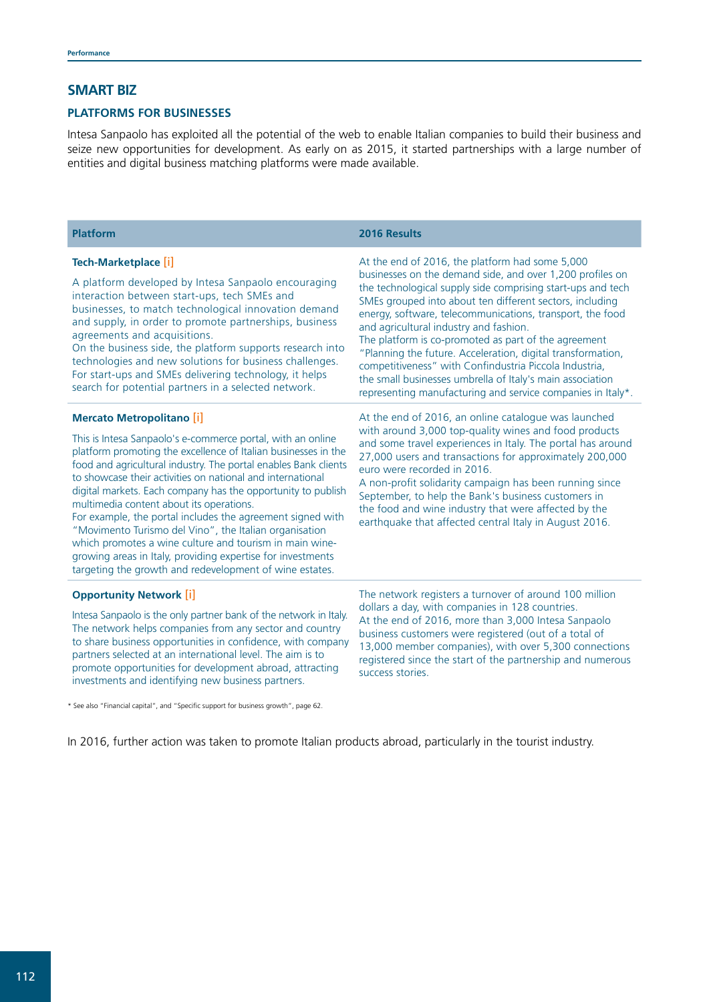#### **SMART BIZ**

#### **PLATFORMS FOR BUSINESSES**

Intesa Sanpaolo has exploited all the potential of the web to enable Italian companies to build their business and seize new opportunities for development. As early on as 2015, it started partnerships with a large number of entities and digital business matching platforms were made available.

| <b>Platform</b>                                                                                                                                                                                                                                                                                                                                                                                                                                                                                                                                                                                                                                                                                                             | 2016 Results                                                                                                                                                                                                                                                                                                                                                                                                                                                                                                                                                                                                                                                |
|-----------------------------------------------------------------------------------------------------------------------------------------------------------------------------------------------------------------------------------------------------------------------------------------------------------------------------------------------------------------------------------------------------------------------------------------------------------------------------------------------------------------------------------------------------------------------------------------------------------------------------------------------------------------------------------------------------------------------------|-------------------------------------------------------------------------------------------------------------------------------------------------------------------------------------------------------------------------------------------------------------------------------------------------------------------------------------------------------------------------------------------------------------------------------------------------------------------------------------------------------------------------------------------------------------------------------------------------------------------------------------------------------------|
| Tech-Marketplace [i]<br>A platform developed by Intesa Sanpaolo encouraging<br>interaction between start-ups, tech SMEs and<br>businesses, to match technological innovation demand<br>and supply, in order to promote partnerships, business<br>agreements and acquisitions.<br>On the business side, the platform supports research into<br>technologies and new solutions for business challenges.<br>For start-ups and SMEs delivering technology, it helps<br>search for potential partners in a selected network.                                                                                                                                                                                                     | At the end of 2016, the platform had some 5,000<br>businesses on the demand side, and over 1,200 profiles on<br>the technological supply side comprising start-ups and tech<br>SMEs grouped into about ten different sectors, including<br>energy, software, telecommunications, transport, the food<br>and agricultural industry and fashion.<br>The platform is co-promoted as part of the agreement<br>"Planning the future. Acceleration, digital transformation,<br>competitiveness" with Confindustria Piccola Industria,<br>the small businesses umbrella of Italy's main association<br>representing manufacturing and service companies in Italy*. |
| <b>Mercato Metropolitano [i]</b><br>This is Intesa Sanpaolo's e-commerce portal, with an online<br>platform promoting the excellence of Italian businesses in the<br>food and agricultural industry. The portal enables Bank clients<br>to showcase their activities on national and international<br>digital markets. Each company has the opportunity to publish<br>multimedia content about its operations.<br>For example, the portal includes the agreement signed with<br>"Movimento Turismo del Vino", the Italian organisation<br>which promotes a wine culture and tourism in main wine-<br>growing areas in Italy, providing expertise for investments<br>targeting the growth and redevelopment of wine estates. | At the end of 2016, an online catalogue was launched<br>with around 3,000 top-quality wines and food products<br>and some travel experiences in Italy. The portal has around<br>27,000 users and transactions for approximately 200,000<br>euro were recorded in 2016.<br>A non-profit solidarity campaign has been running since<br>September, to help the Bank's business customers in<br>the food and wine industry that were affected by the<br>earthquake that affected central Italy in August 2016.                                                                                                                                                  |
| <b>Opportunity Network [i]</b><br>Intesa Sanpaolo is the only partner bank of the network in Italy.<br>The network helps companies from any sector and country<br>to share business opportunities in confidence, with company<br>partners selected at an international level. The aim is to<br>promote opportunities for development abroad, attracting<br>investments and identifying new business partners.                                                                                                                                                                                                                                                                                                               | The network registers a turnover of around 100 million<br>dollars a day, with companies in 128 countries.<br>At the end of 2016, more than 3,000 Intesa Sanpaolo<br>business customers were registered (out of a total of<br>13,000 member companies), with over 5,300 connections<br>registered since the start of the partnership and numerous<br>success stories.                                                                                                                                                                                                                                                                                        |

\* See also "Financial capital", and "Specific support for business growth", page 62.

In 2016, further action was taken to promote Italian products abroad, particularly in the tourist industry.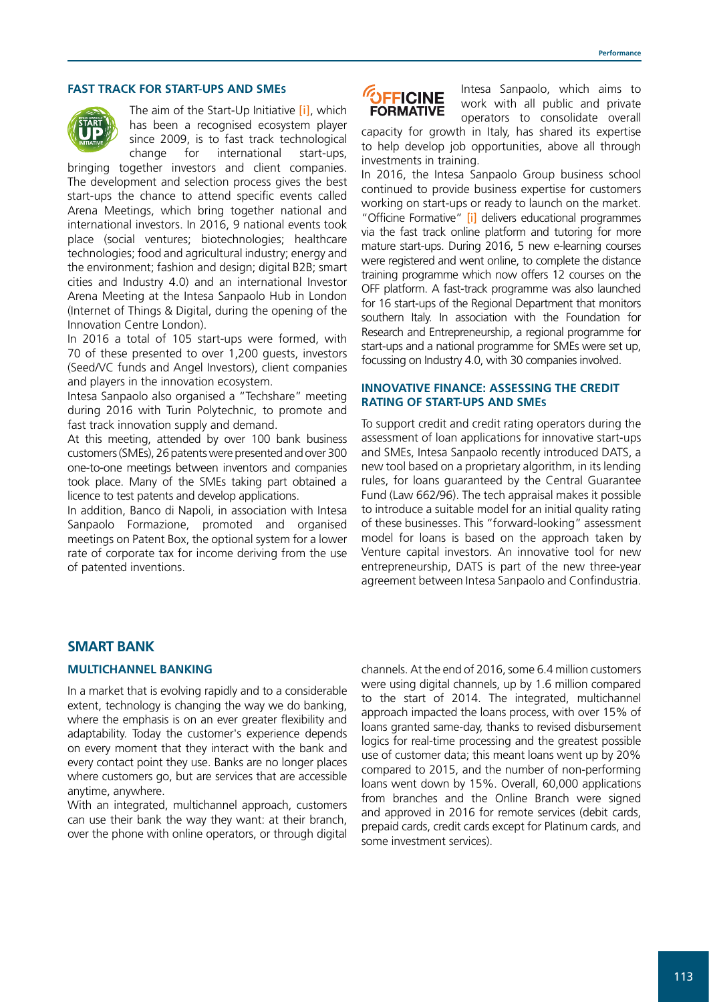#### **FAST TRACK FOR START-UPS AND SMES**



The aim of the Start-Up Initiative [\[i\]](http://www.startupinitiative.com/en/index.html), which has been a recognised ecosystem player since 2009, is to fast track technological change for international start-ups,

bringing together investors and client companies. The development and selection process gives the best start-ups the chance to attend specific events called Arena Meetings, which bring together national and international investors. In 2016, 9 national events took place (social ventures; biotechnologies; healthcare technologies; food and agricultural industry; energy and the environment; fashion and design; digital B2B; smart cities and Industry 4.0) and an international Investor Arena Meeting at the Intesa Sanpaolo Hub in London (Internet of Things & Digital, during the opening of the Innovation Centre London).

In 2016 a total of 105 start-ups were formed, with 70 of these presented to over 1,200 guests, investors (Seed/VC funds and Angel Investors), client companies and players in the innovation ecosystem.

Intesa Sanpaolo also organised a "Techshare" meeting during 2016 with Turin Polytechnic, to promote and fast track innovation supply and demand.

At this meeting, attended by over 100 bank business customers (SMEs), 26 patents were presented and over 300 one-to-one meetings between inventors and companies took place. Many of the SMEs taking part obtained a licence to test patents and develop applications.

In addition, Banco di Napoli, in association with Intesa Sanpaolo Formazione, promoted and organised meetings on Patent Box, the optional system for a lower rate of corporate tax for income deriving from the use of patented inventions.



Intesa Sanpaolo, which aims to work with all public and private operators to consolidate overall

capacity for growth in Italy, has shared its expertise to help develop job opportunities, above all through investments in training.

In 2016, the Intesa Sanpaolo Group business school continued to provide business expertise for customers working on start-ups or ready to launch on the market. "Officine Formative" [\[i\]](https://officineformative.it/) delivers educational programmes via the fast track online platform and tutoring for more mature start-ups. During 2016, 5 new e-learning courses were registered and went online, to complete the distance training programme which now offers 12 courses on the OFF platform. A fast-track programme was also launched for 16 start-ups of the Regional Department that monitors southern Italy. In association with the Foundation for Research and Entrepreneurship, a regional programme for start-ups and a national programme for SMEs were set up, focussing on Industry 4.0, with 30 companies involved.

#### **INNOVATIVE FINANCE: ASSESSING THE CREDIT RATING OF START-UPS AND SMES**

To support credit and credit rating operators during the assessment of loan applications for innovative start-ups and SMEs, Intesa Sanpaolo recently introduced DATS, a new tool based on a proprietary algorithm, in its lending rules, for loans guaranteed by the Central Guarantee Fund (Law 662/96). The tech appraisal makes it possible to introduce a suitable model for an initial quality rating of these businesses. This "forward-looking" assessment model for loans is based on the approach taken by Venture capital investors. An innovative tool for new entrepreneurship, DATS is part of the new three-year agreement between Intesa Sanpaolo and Confindustria.

### **SMART BANK**

#### **MULTICHANNEL BANKING**

In a market that is evolving rapidly and to a considerable extent, technology is changing the way we do banking, where the emphasis is on an ever greater flexibility and adaptability. Today the customer's experience depends on every moment that they interact with the bank and every contact point they use. Banks are no longer places where customers go, but are services that are accessible anytime, anywhere.

With an integrated, multichannel approach, customers can use their bank the way they want: at their branch, over the phone with online operators, or through digital channels. At the end of 2016, some 6.4 million customers were using digital channels, up by 1.6 million compared to the start of 2014. The integrated, multichannel approach impacted the loans process, with over 15% of loans granted same-day, thanks to revised disbursement logics for real-time processing and the greatest possible use of customer data; this meant loans went up by 20% compared to 2015, and the number of non-performing loans went down by 15%. Overall, 60,000 applications from branches and the Online Branch were signed and approved in 2016 for remote services (debit cards, prepaid cards, credit cards except for Platinum cards, and some investment services).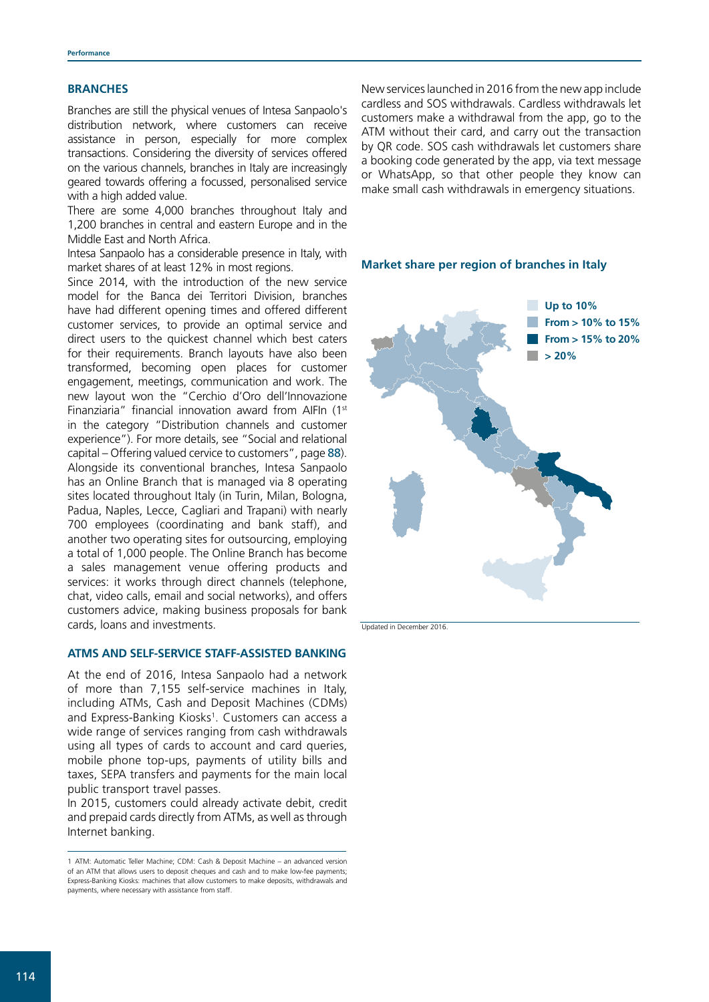#### **BRANCHES**

Branches are still the physical venues of Intesa Sanpaolo's distribution network, where customers can receive assistance in person, especially for more complex transactions. Considering the diversity of services offered on the various channels, branches in Italy are increasingly geared towards offering a focussed, personalised service with a high added value.

There are some 4,000 branches throughout Italy and 1,200 branches in central and eastern Europe and in the Middle East and North Africa.

Intesa Sanpaolo has a considerable presence in Italy, with market shares of at least 12% in most regions.

Since 2014, with the introduction of the new service model for the Banca dei Territori Division, branches have had different opening times and offered different customer services, to provide an optimal service and direct users to the quickest channel which best caters for their requirements. Branch layouts have also been transformed, becoming open places for customer engagement, meetings, communication and work. The new layout won the "Cerchio d'Oro dell'Innovazione Finanziaria" financial innovation award from AIFIn (1st in the category "Distribution channels and customer experience"). For more details, see "Social and relational capital – Offering valued cervice to customers", page 88). Alongside its conventional branches, Intesa Sanpaolo has an Online Branch that is managed via 8 operating sites located throughout Italy (in Turin, Milan, Bologna, Padua, Naples, Lecce, Cagliari and Trapani) with nearly 700 employees (coordinating and bank staff), and another two operating sites for outsourcing, employing a total of 1,000 people. The Online Branch has become a sales management venue offering products and services: it works through direct channels (telephone, chat, video calls, email and social networks), and offers customers advice, making business proposals for bank cards, loans and investments.

#### **ATMS AND SELF-SERVICE STAFF-ASSISTED BANKING**

At the end of 2016, Intesa Sanpaolo had a network of more than 7,155 self-service machines in Italy, including ATMs, Cash and Deposit Machines (CDMs) and Express-Banking Kiosks<sup>1</sup>. Customers can access a wide range of services ranging from cash withdrawals using all types of cards to account and card queries, mobile phone top-ups, payments of utility bills and taxes, SEPA transfers and payments for the main local public transport travel passes.

In 2015, customers could already activate debit, credit and prepaid cards directly from ATMs, as well as through Internet banking.

New services launched in 2016 from the new app include cardless and SOS withdrawals. Cardless withdrawals let customers make a withdrawal from the app, go to the ATM without their card, and carry out the transaction by QR code. SOS cash withdrawals let customers share a booking code generated by the app, via text message or WhatsApp, so that other people they know can make small cash withdrawals in emergency situations.



**Market share per region of branches in Italy**

Updated in December 2016.

<sup>1</sup> ATM: Automatic Teller Machine; CDM: Cash & Deposit Machine – an advanced version of an ATM that allows users to deposit cheques and cash and to make low-fee payments; Express-Banking Kiosks: machines that allow customers to make deposits, withdrawals and payments, where necessary with assistance from staff.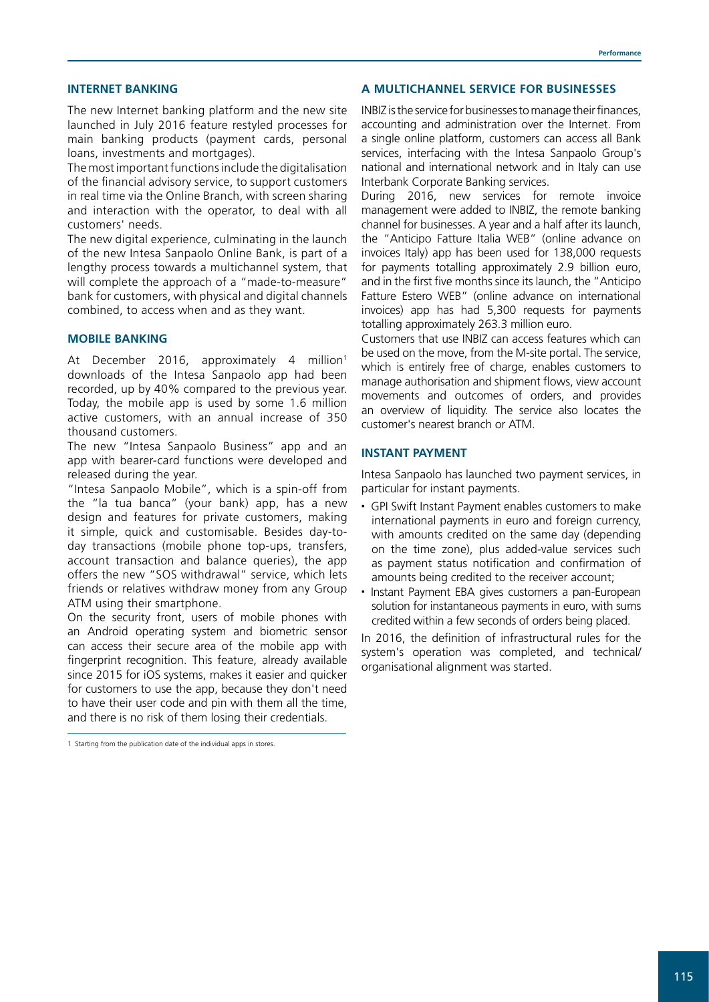#### **INTERNET BANKING**

The new Internet banking platform and the new site launched in July 2016 feature restyled processes for main banking products (payment cards, personal loans, investments and mortgages).

The most important functions include the digitalisation of the financial advisory service, to support customers in real time via the Online Branch, with screen sharing and interaction with the operator, to deal with all customers' needs.

The new digital experience, culminating in the launch of the new Intesa Sanpaolo Online Bank, is part of a lengthy process towards a multichannel system, that will complete the approach of a "made-to-measure" bank for customers, with physical and digital channels combined, to access when and as they want.

#### **MOBILE BANKING**

At December 2016, approximately 4 million<sup>1</sup> downloads of the Intesa Sanpaolo app had been recorded, up by 40% compared to the previous year. Today, the mobile app is used by some 1.6 million active customers, with an annual increase of 350 thousand customers.

The new "Intesa Sanpaolo Business" app and an app with bearer-card functions were developed and released during the year.

"Intesa Sanpaolo Mobile", which is a spin-off from the "la tua banca" (your bank) app, has a new design and features for private customers, making it simple, quick and customisable. Besides day-today transactions (mobile phone top-ups, transfers, account transaction and balance queries), the app offers the new "SOS withdrawal" service, which lets friends or relatives withdraw money from any Group ATM using their smartphone.

On the security front, users of mobile phones with an Android operating system and biometric sensor can access their secure area of the mobile app with fingerprint recognition. This feature, already available since 2015 for iOS systems, makes it easier and quicker for customers to use the app, because they don't need to have their user code and pin with them all the time, and there is no risk of them losing their credentials.

1 Starting from the publication date of the individual apps in stores.

#### **A MULTICHANNEL SERVICE FOR BUSINESSES**

INBIZ is the service for businesses to manage their finances, accounting and administration over the Internet. From a single online platform, customers can access all Bank services, interfacing with the Intesa Sanpaolo Group's national and international network and in Italy can use Interbank Corporate Banking services.

During 2016, new services for remote invoice management were added to INBIZ, the remote banking channel for businesses. A year and a half after its launch, the "Anticipo Fatture Italia WEB" (online advance on invoices Italy) app has been used for 138,000 requests for payments totalling approximately 2.9 billion euro, and in the first five months since its launch, the "Anticipo Fatture Estero WEB" (online advance on international invoices) app has had 5,300 requests for payments totalling approximately 263.3 million euro.

Customers that use INBIZ can access features which can be used on the move, from the M-site portal. The service, which is entirely free of charge, enables customers to manage authorisation and shipment flows, view account movements and outcomes of orders, and provides an overview of liquidity. The service also locates the customer's nearest branch or ATM.

#### **INSTANT PAYMENT**

Intesa Sanpaolo has launched two payment services, in particular for instant payments.

- GPI Swift Instant Payment enables customers to make international payments in euro and foreign currency, with amounts credited on the same day (depending on the time zone), plus added-value services such as payment status notification and confirmation of amounts being credited to the receiver account;
- Instant Payment EBA gives customers a pan-European solution for instantaneous payments in euro, with sums credited within a few seconds of orders being placed.

In 2016, the definition of infrastructural rules for the system's operation was completed, and technical/ organisational alignment was started.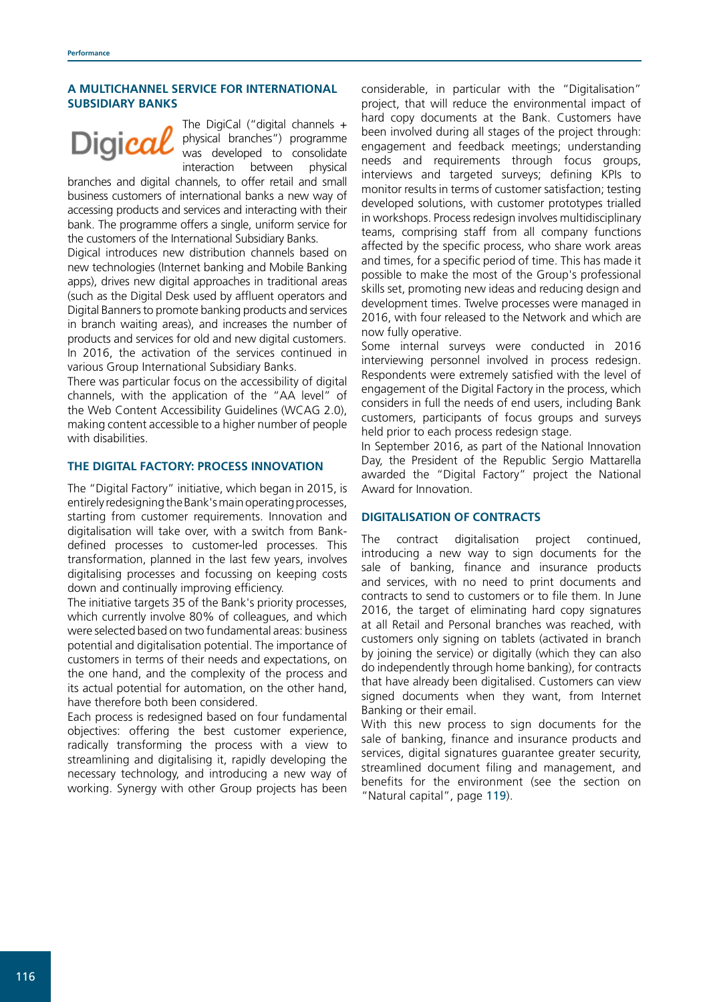#### **A MULTICHANNEL SERVICE FOR INTERNATIONAL SUBSIDIARY BANKS**

# Digica

The DigiCal ("digital channels + physical branches") programme was developed to consolidate interaction between physical

branches and digital channels, to offer retail and small business customers of international banks a new way of accessing products and services and interacting with their bank. The programme offers a single, uniform service for the customers of the International Subsidiary Banks.

Digical introduces new distribution channels based on new technologies (Internet banking and Mobile Banking apps), drives new digital approaches in traditional areas (such as the Digital Desk used by affluent operators and Digital Banners to promote banking products and services in branch waiting areas), and increases the number of products and services for old and new digital customers. In 2016, the activation of the services continued in various Group International Subsidiary Banks.

There was particular focus on the accessibility of digital channels, with the application of the "AA level" of the Web Content Accessibility Guidelines (WCAG 2.0), making content accessible to a higher number of people with disabilities.

#### **THE DIGITAL FACTORY: PROCESS INNOVATION**

The "Digital Factory" initiative, which began in 2015, is entirely redesigning the Bank's main operating processes, starting from customer requirements. Innovation and digitalisation will take over, with a switch from Bankdefined processes to customer-led processes. This transformation, planned in the last few years, involves digitalising processes and focussing on keeping costs down and continually improving efficiency.

The initiative targets 35 of the Bank's priority processes, which currently involve 80% of colleagues, and which were selected based on two fundamental areas: business potential and digitalisation potential. The importance of customers in terms of their needs and expectations, on the one hand, and the complexity of the process and its actual potential for automation, on the other hand, have therefore both been considered.

Each process is redesigned based on four fundamental objectives: offering the best customer experience, radically transforming the process with a view to streamlining and digitalising it, rapidly developing the necessary technology, and introducing a new way of working. Synergy with other Group projects has been

considerable, in particular with the "Digitalisation" project, that will reduce the environmental impact of hard copy documents at the Bank. Customers have been involved during all stages of the project through: engagement and feedback meetings; understanding needs and requirements through focus groups, interviews and targeted surveys; defining KPIs to monitor results in terms of customer satisfaction; testing developed solutions, with customer prototypes trialled in workshops. Process redesign involves multidisciplinary teams, comprising staff from all company functions affected by the specific process, who share work areas and times, for a specific period of time. This has made it possible to make the most of the Group's professional skills set, promoting new ideas and reducing design and development times. Twelve processes were managed in 2016, with four released to the Network and which are now fully operative.

Some internal surveys were conducted in 2016 interviewing personnel involved in process redesign. Respondents were extremely satisfied with the level of engagement of the Digital Factory in the process, which considers in full the needs of end users, including Bank customers, participants of focus groups and surveys held prior to each process redesign stage.

In September 2016, as part of the National Innovation Day, the President of the Republic Sergio Mattarella awarded the "Digital Factory" project the National Award for Innovation.

#### **DIGITALISATION OF CONTRACTS**

The contract digitalisation project continued, introducing a new way to sign documents for the sale of banking, finance and insurance products and services, with no need to print documents and contracts to send to customers or to file them. In June 2016, the target of eliminating hard copy signatures at all Retail and Personal branches was reached, with customers only signing on tablets (activated in branch by joining the service) or digitally (which they can also do independently through home banking), for contracts that have already been digitalised. Customers can view signed documents when they want, from Internet Banking or their email.

With this new process to sign documents for the sale of banking, finance and insurance products and services, digital signatures guarantee greater security, streamlined document filing and management, and benefits for the environment (see the section on "Natural capital", page 119).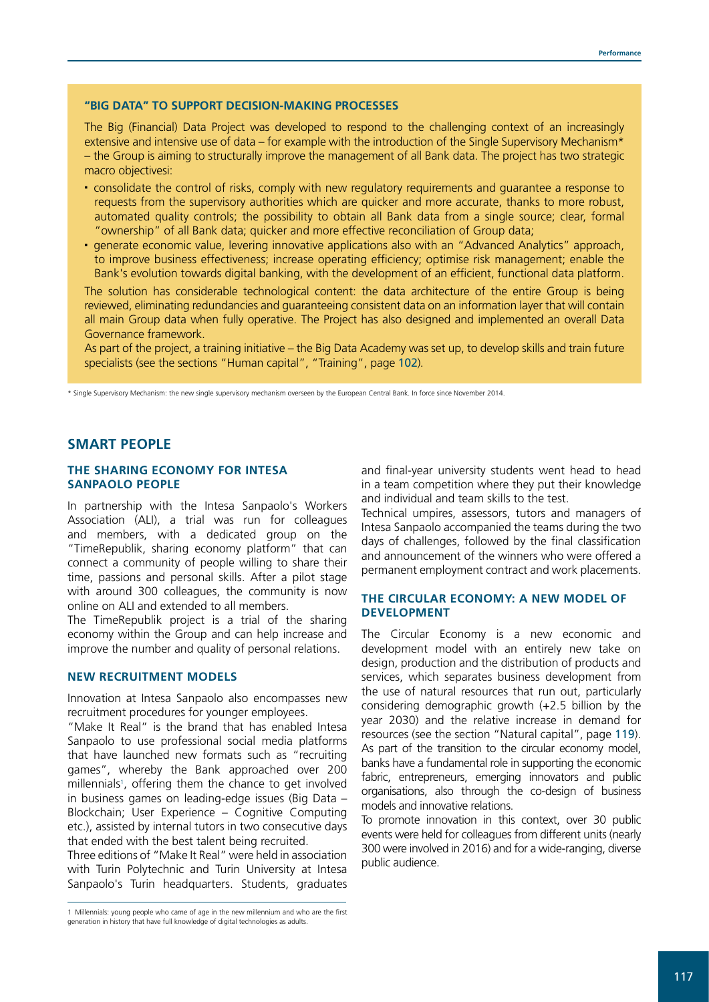#### **"BIG DATA" TO SUPPORT DECISION-MAKING PROCESSES**

The Big (Financial) Data Project was developed to respond to the challenging context of an increasingly extensive and intensive use of data – for example with the introduction of the Single Supervisory Mechanism\* – the Group is aiming to structurally improve the management of all Bank data. The project has two strategic macro objectivesi:

- consolidate the control of risks, comply with new regulatory requirements and guarantee a response to requests from the supervisory authorities which are quicker and more accurate, thanks to more robust, automated quality controls; the possibility to obtain all Bank data from a single source; clear, formal "ownership" of all Bank data; quicker and more effective reconciliation of Group data;
- generate economic value, levering innovative applications also with an "Advanced Analytics" approach, to improve business effectiveness; increase operating efficiency; optimise risk management; enable the Bank's evolution towards digital banking, with the development of an efficient, functional data platform.

The solution has considerable technological content: the data architecture of the entire Group is being reviewed, eliminating redundancies and guaranteeing consistent data on an information layer that will contain all main Group data when fully operative. The Project has also designed and implemented an overall Data Governance framework.

As part of the project, a training initiative – the Big Data Academy was set up, to develop skills and train future specialists (see the sections "Human capital", "Training", page 102).

\* Single Supervisory Mechanism: the new single supervisory mechanism overseen by the European Central Bank. In force since November 2014.

### **SMART PEOPLE**

#### **THE SHARING ECONOMY FOR INTESA SANPAOLO PEOPLE**

In partnership with the Intesa Sanpaolo's Workers Association (ALI), a trial was run for colleagues and members, with a dedicated group on the "TimeRepublik, sharing economy platform" that can connect a community of people willing to share their time, passions and personal skills. After a pilot stage with around 300 colleagues, the community is now online on ALI and extended to all members.

The TimeRepublik project is a trial of the sharing economy within the Group and can help increase and improve the number and quality of personal relations.

#### **NEW RECRUITMENT MODELS**

Innovation at Intesa Sanpaolo also encompasses new recruitment procedures for younger employees.

"Make It Real" is the brand that has enabled Intesa Sanpaolo to use professional social media platforms that have launched new formats such as "recruiting games", whereby the Bank approached over 200 millennials1 , offering them the chance to get involved in business games on leading-edge issues (Big Data – Blockchain; User Experience – Cognitive Computing etc.), assisted by internal tutors in two consecutive days that ended with the best talent being recruited.

Three editions of "Make It Real" were held in association with Turin Polytechnic and Turin University at Intesa Sanpaolo's Turin headquarters. Students, graduates and final-year university students went head to head in a team competition where they put their knowledge and individual and team skills to the test.

Technical umpires, assessors, tutors and managers of Intesa Sanpaolo accompanied the teams during the two days of challenges, followed by the final classification and announcement of the winners who were offered a permanent employment contract and work placements.

#### **THE CIRCULAR ECONOMY: A NEW MODEL OF DEVELOPMENT**

The Circular Economy is a new economic and development model with an entirely new take on design, production and the distribution of products and services, which separates business development from the use of natural resources that run out, particularly considering demographic growth (+2.5 billion by the year 2030) and the relative increase in demand for resources (see the section "Natural capital", page 119). As part of the transition to the circular economy model, banks have a fundamental role in supporting the economic fabric, entrepreneurs, emerging innovators and public organisations, also through the co-design of business models and innovative relations.

To promote innovation in this context, over 30 public events were held for colleagues from different units (nearly 300 were involved in 2016) and for a wide-ranging, diverse public audience.

<sup>1</sup> Millennials: young people who came of age in the new millennium and who are the first generation in history that have full knowledge of digital technologies as adults.